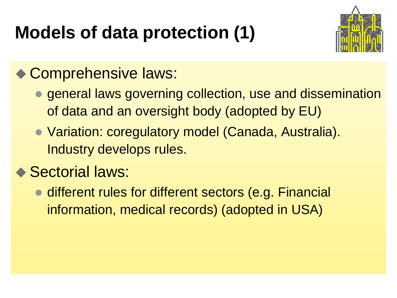# **Models of data protection (1)**



### ◆ Comprehensive laws:

- general laws governing collection, use and dissemination of data and an oversight body (adopted by EU)
- Variation: coregulatory model (Canada, Australia). Industry develops rules.

### ◆ Sectorial laws:

• different rules for different sectors (e.g. Financial information, medical records) (adopted in USA)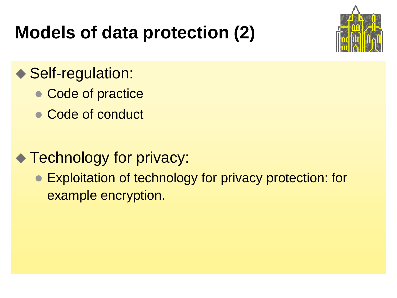### **Models of data protection (2)**



### ◆ Self-regulation:

- Code of practice
- Code of conduct

### ◆ Technology for privacy:

● Exploitation of technology for privacy protection: for example encryption.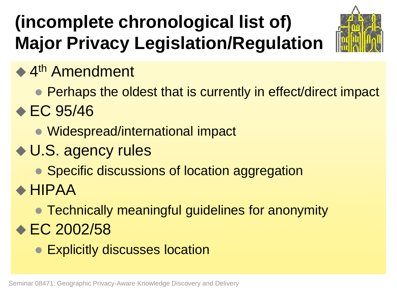# **(incomplete chronological list of) Major Privacy Legislation/Regulation**



### ◆ 4<sup>th</sup> Amendment

- Perhaps the oldest that is currently in effect/direct impact
- $\div$  EC 95/46
	- Widespread/international impact
- ◆ U.S. agency rules
	- Specific discussions of location aggregation
- HIPAA
	- Technically meaningful guidelines for anonymity
- **EC 2002/58** 
	- Explicitly discusses location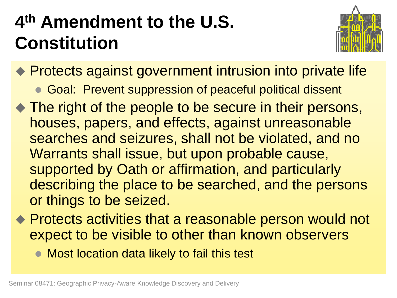# **4 th Amendment to the U.S. Constitution**



◆ Protects against government intrusion into private life

- **Goal: Prevent suppression of peaceful political dissent**
- The right of the people to be secure in their persons, houses, papers, and effects, against unreasonable searches and seizures, shall not be violated, and no Warrants shall issue, but upon probable cause, supported by Oath or affirmation, and particularly describing the place to be searched, and the persons or things to be seized.
- ◆ Protects activities that a reasonable person would not expect to be visible to other than known observers
	- Most location data likely to fail this test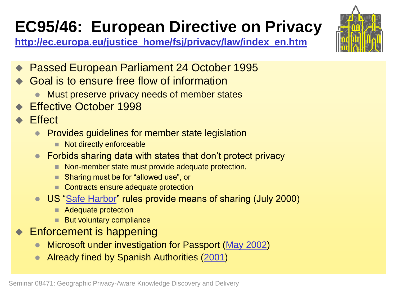### **EC95/46: European Directive on Privacy**



**[http://ec.europa.eu/justice\\_home/fsj/privacy/law/index\\_en.htm](http://ec.europa.eu/justice_home/fsj/privacy/law/index_en.htm)**

- ◆ Passed European Parliament 24 October 1995
- **Goal is to ensure free flow of information** 
	- Must preserve privacy needs of member states
- Effective October 1998
- **▶ Effect** 
	- Provides guidelines for member state legislation
		- Not directly enforceable
	- Forbids sharing data with states that don't protect privacy
		- Non-member state must provide adequate protection,
		- Sharing must be for "allowed use", or
		- Contracts ensure adequate protection
	- US ["Safe Harbor](http://www.export.gov/safeharbor/)" rules provide means of sharing (July 2000)
		- Adequate protection
		- **But voluntary compliance**
- Enforcement is happening
	- Microsoft under investigation for Passport [\(May 2002](http://sg.biz.yahoo.com/020527/15/2q7hl.html))
	- Already fined by Spanish Authorities ([2001\)](http://www.uscib.org/index.asp?documentID=1905)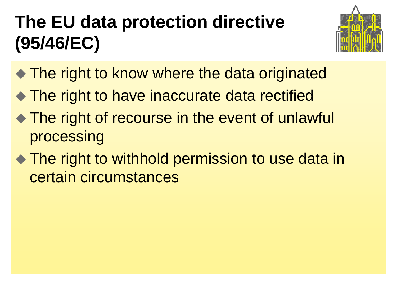# **The EU data protection directive (95/46/EC)**



- The right to know where the data originated
- ◆ The right to have inaccurate data rectified
- ◆ The right of recourse in the event of unlawful processing
- ◆ The right to withhold permission to use data in certain circumstances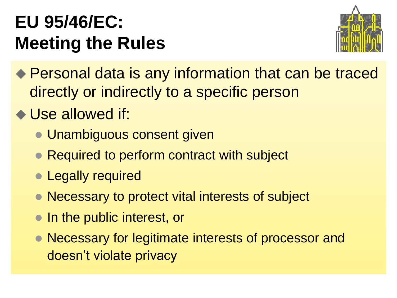### **EU 95/46/EC: Meeting the Rules**



- ◆ Personal data is any information that can be traced directly or indirectly to a specific person
- ◆ Use allowed if:
	- **Unambiguous consent given**
	- Required to perform contract with subject
	- Legally required
	- Necessary to protect vital interests of subject
	- In the public interest, or
	- Necessary for legitimate interests of processor and doesn't violate privacy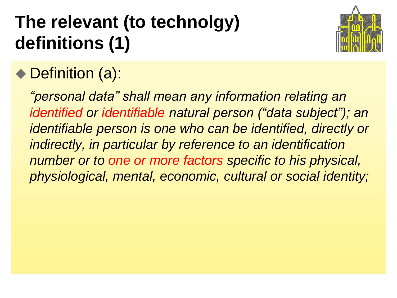# **The relevant (to technolgy) definitions (1)**



### ◆ Definition (a):

*"personal data" shall mean any information relating an identified or identifiable natural person ("data subject"); an identifiable person is one who can be identified, directly or indirectly, in particular by reference to an identification number or to one or more factors specific to his physical, physiological, mental, economic, cultural or social identity;*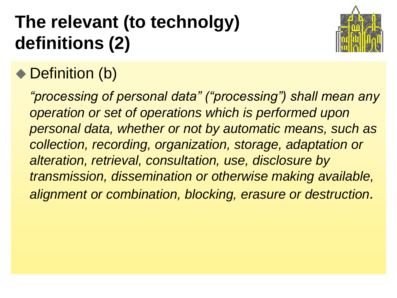# **The relevant (to technolgy) definitions (2)**



### ◆ Definition (b)

*"processing of personal data" ("processing") shall mean any operation or set of operations which is performed upon personal data, whether or not by automatic means, such as collection, recording, organization, storage, adaptation or alteration, retrieval, consultation, use, disclosure by transmission, dissemination or otherwise making available, alignment or combination, blocking, erasure or destruction.*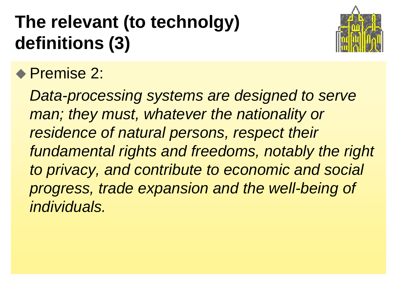# **The relevant (to technolgy) definitions (3)**



### ◆ Premise 2:

*Data-processing systems are designed to serve man; they must, whatever the nationality or residence of natural persons, respect their fundamental rights and freedoms, notably the right to privacy, and contribute to economic and social progress, trade expansion and the well-being of individuals.*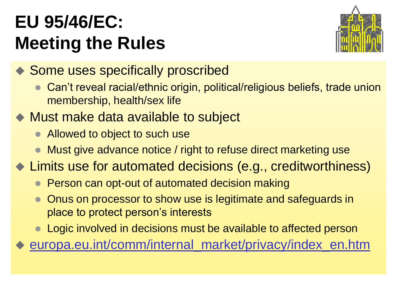### **EU 95/46/EC: Meeting the Rules**



◆ Some uses specifically proscribed

- Can't reveal racial/ethnic origin, political/religious beliefs, trade union membership, health/sex life
- ◆ Must make data available to subject
	- Allowed to object to such use
	- Must give advance notice / right to refuse direct marketing use
- ◆ Limits use for automated decisions (e.g., creditworthiness)
	- Person can opt-out of automated decision making
	- Onus on processor to show use is legitimate and safeguards in place to protect person's interests
	- Logic involved in decisions must be available to affected person

[europa.eu.int/comm/internal\\_market/privacy/index\\_en.htm](http://europa.eu.int/comm/internal_market/privacy/index_en.htm)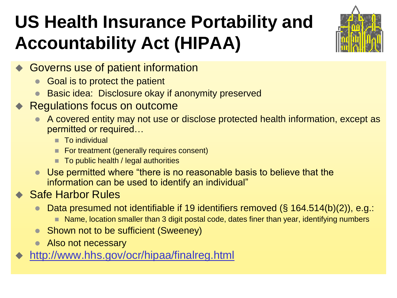# **US Health Insurance Portability and Accountability Act (HIPAA)**



- Governs use of patient information
	- Goal is to protect the patient
	- Basic idea: Disclosure okay if anonymity preserved
- Regulations focus on outcome
	- A covered entity may not use or disclose protected health information, except as permitted or required…
		- To individual
		- For treatment (generally requires consent)
		- $\blacksquare$  To public health / legal authorities
	- Use permitted where "there is no reasonable basis to believe that the information can be used to identify an individual"

#### **▶ Safe Harbor Rules**

- Data presumed not identifiable if 19 identifiers removed (§ 164.514(b)(2)), e.g.:
	- Name, location smaller than 3 digit postal code, dates finer than year, identifying numbers
- Shown not to be sufficient (Sweeney)
- Also not necessary
- <http://www.hhs.gov/ocr/hipaa/finalreg.html>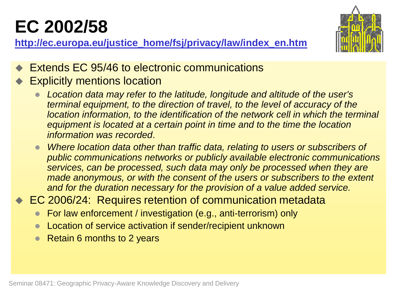# **EC 2002/58**

**[http://ec.europa.eu/justice\\_home/fsj/privacy/law/index\\_en.htm](http://ec.europa.eu/justice_home/fsj/privacy/law/index_en.htm)**



- Extends EC 95/46 to electronic communications
- Explicitly mentions location
	- *Location data may refer to the latitude, longitude and altitude of the user's terminal equipment, to the direction of travel, to the level of accuracy of the location information, to the identification of the network cell in which the terminal equipment is located at a certain point in time and to the time the location information was recorded*.
	- **Where location data other than traffic data, relating to users or subscribers of** *public communications networks or publicly available electronic communications services, can be processed, such data may only be processed when they are made anonymous, or with the consent of the users or subscribers to the extent and for the duration necessary for the provision of a value added service.*
- ◆ EC 2006/24: Requires retention of communication metadata
	- For law enforcement / investigation (e.g., anti-terrorism) only
	- Location of service activation if sender/recipient unknown
	- Retain 6 months to 2 years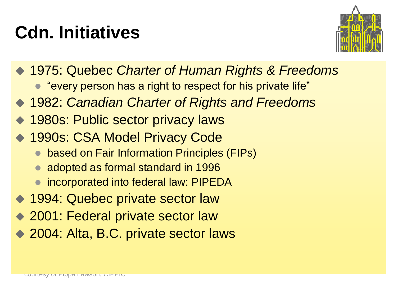# **Cdn. Initiatives**



- 1975: Quebec *Charter of Human Rights & Freedoms*
	- "every person has a right to respect for his private life"
- 1982: *Canadian Charter of Rights and Freedoms*
- 1980s: Public sector privacy laws
- ◆ 1990s: CSA Model Privacy Code
	- **based on Fair Information Principles (FIPs)**
	- adopted as formal standard in 1996
	- incorporated into federal law: PIPEDA
- ◆ 1994: Quebec private sector law
- 2001: Federal private sector law
- 2004: Alta, B.C. private sector laws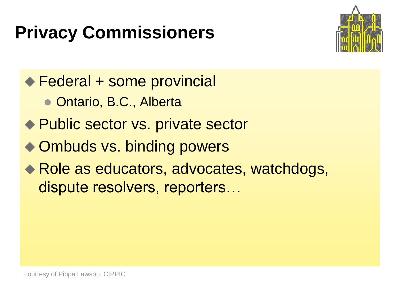## **Privacy Commissioners**



◆ Federal + some provincial

- Ontario, B.C., Alberta
- ◆ Public sector vs. private sector
- ◆ Ombuds vs. binding powers
- ◆ Role as educators, advocates, watchdogs, dispute resolvers, reporters…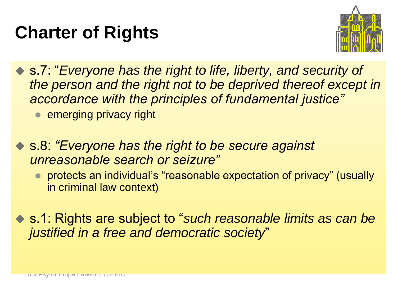### **Charter of Rights**



 s.7: "*Everyone has the right to life, liberty, and security of the person and the right not to be deprived thereof except in accordance with the principles of fundamental justice"*

**e** emerging privacy right

- s.8: *"Everyone has the right to be secure against unreasonable search or seizure"*
	- protects an individual's "reasonable expectation of privacy" (usually in criminal law context)
- s.1: Rights are subject to "*such reasonable limits as can be justified in a free and democratic society*"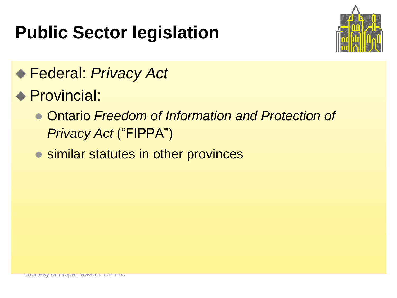## **Public Sector legislation**



### Federal: *Privacy Act*

- ◆ Provincial:
	- Ontario *Freedom of Information and Protection of Privacy Act* ("FIPPA")
	- similar statutes in other provinces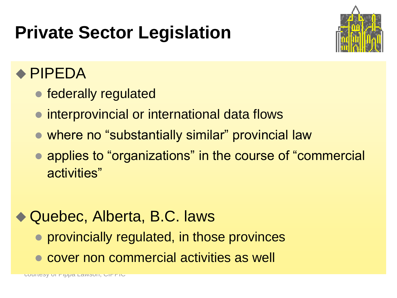### **Private Sector Legislation**



### ◆ PIPEDA

- federally regulated
- interprovincial or international data flows
- where no "substantially similar" provincial law
- applies to "organizations" in the course of "commercial activities"

### Quebec, Alberta, B.C. laws

- provincially regulated, in those provinces
- cover non commercial activities as well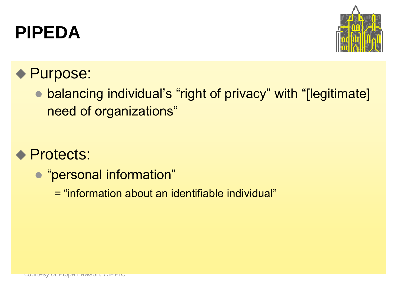### **PIPEDA**



### ◆ Purpose:

 balancing individual's "right of privacy" with "[legitimate] need of organizations"

#### ◆ Protects:

- "personal information"
	- = "information about an identifiable individual"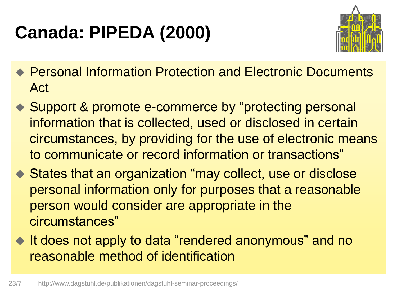# **Canada: PIPEDA (2000)**



- Personal Information Protection and Electronic Documents Act
- ◆ Support & promote e-commerce by "protecting personal information that is collected, used or disclosed in certain circumstances, by providing for the use of electronic means to communicate or record information or transactions"
- ◆ States that an organization "may collect, use or disclose personal information only for purposes that a reasonable person would consider are appropriate in the circumstances"
- It does not apply to data "rendered anonymous" and no reasonable method of identification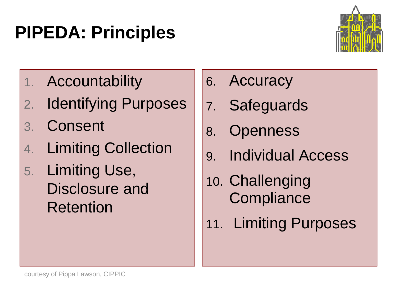### **PIPEDA: Principles**



- 1. Accountability
- 2. Identifying Purposes
- 3. Consent
- 4. Limiting Collection
- 5. Limiting Use, Disclosure and Retention
- 6. Accuracy
- 7. Safeguards
- 8. Openness
- 9. Individual Access
- 10. Challenging **Compliance**
- 11. Limiting Purposes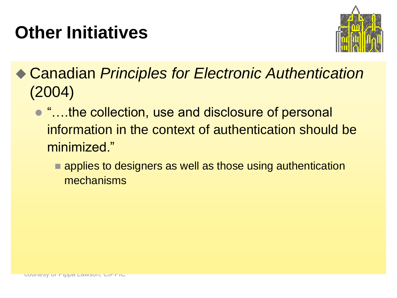### **Other Initiatives**



 Canadian *Principles for Electronic Authentication* (2004)

- $\bullet$  "...the collection, use and disclosure of personal information in the context of authentication should be minimized."
	- **E** applies to designers as well as those using authentication mechanisms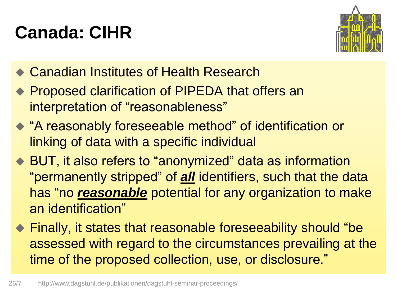# **Canada: CIHR**



- **◆ Canadian Institutes of Health Research**
- ◆ Proposed clarification of PIPEDA that offers an interpretation of "reasonableness"
- "A reasonably foreseeable method" of identification or linking of data with a specific individual
- ◆ BUT, it also refers to "anonymized" data as information "permanently stripped" of *all* identifiers, such that the data has "no *reasonable* potential for any organization to make an identification"
- ◆ Finally, it states that reasonable foreseeability should "be assessed with regard to the circumstances prevailing at the time of the proposed collection, use, or disclosure."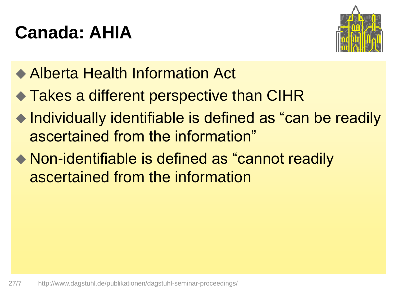### **Canada: AHIA**



- ◆ Alberta Health Information Act
- ◆ Takes a different perspective than CIHR
- ◆ Individually identifiable is defined as "can be readily ascertained from the information"
- ◆ Non-identifiable is defined as "cannot readily ascertained from the information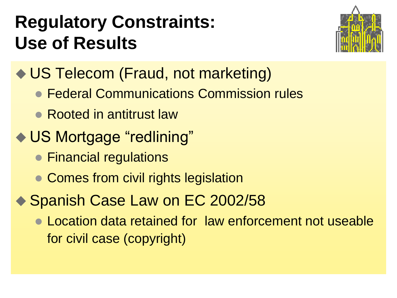### **Regulatory Constraints: Use of Results**



- ◆ US Telecom (Fraud, not marketing)
	- Federal Communications Commission rules
	- Rooted in antitrust law
- ◆ US Mortgage "redlining"
	- **Financial regulations**
	- Comes from civil rights legislation
- ◆ Spanish Case Law on EC 2002/58
	- Location data retained for law enforcement not useable for civil case (copyright)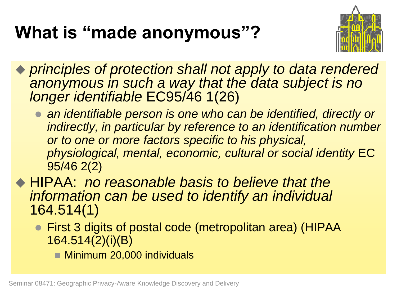### **What is "made anonymous"?**



 *principles of protection shall not apply to data rendered anonymous in such a way that the data subject is no longer identifiable* EC95/46 1(26)

**an identifiable person is one who can be identified, directly or** *indirectly, in particular by reference to an identification number or to one or more factors specific to his physical, physiological, mental, economic, cultural or social identity* EC 95/46 2(2)

 HIPAA: *no reasonable basis to believe that the information can be used to identify an individual*  164.514(1)

- First 3 digits of postal code (metropolitan area) (HIPAA 164.514(2)(i)(B)
	- **Minimum 20,000 individuals**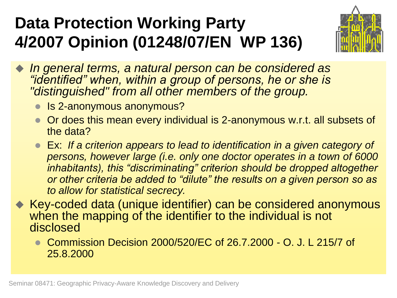### **Data Protection Working Party 4/2007 Opinion (01248/07/EN WP 136)**



- *In general terms, a natural person can be considered as "identified" when, within a group of persons, he or she is "distinguished" from all other members of the group.*
	- Is 2-anonymous anonymous?
	- Or does this mean every individual is 2-anonymous w.r.t. all subsets of the data?
	- Ex: *If a criterion appears to lead to identification in a given category of persons, however large (i.e. only one doctor operates in a town of 6000 inhabitants), this "discriminating" criterion should be dropped altogether or other criteria be added to "dilute" the results on a given person so as to allow for statistical secrecy.*
- ◆ Key-coded data (unique identifier) can be considered anonymous when the mapping of the identifier to the individual is not disclosed
	- Commission Decision 2000/520/EC of 26.7.2000 O. J. L 215/7 of 25.8.2000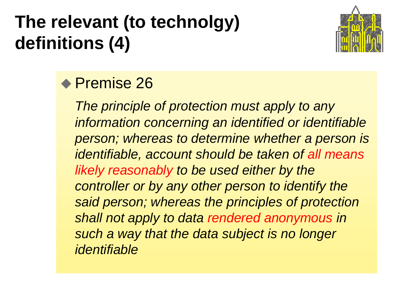# **The relevant (to technolgy) definitions (4)**



### ◆ Premise 26

*The principle of protection must apply to any information concerning an identified or identifiable person; whereas to determine whether a person is identifiable, account should be taken of all means likely reasonably to be used either by the controller or by any other person to identify the said person; whereas the principles of protection shall not apply to data rendered anonymous in such a way that the data subject is no longer identifiable*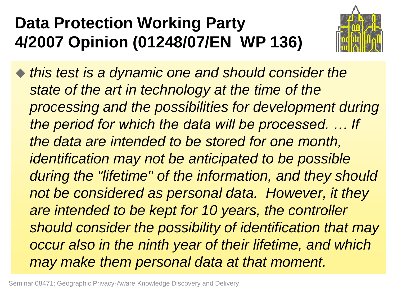### **Data Protection Working Party 4/2007 Opinion (01248/07/EN WP 136)**



 *this test is a dynamic one and should consider the state of the art in technology at the time of the processing and the possibilities for development during the period for which the data will be processed. … If the data are intended to be stored for one month, identification may not be anticipated to be possible during the "lifetime" of the information, and they should not be considered as personal data. However, it they are intended to be kept for 10 years, the controller should consider the possibility of identification that may occur also in the ninth year of their lifetime, and which may make them personal data at that moment.*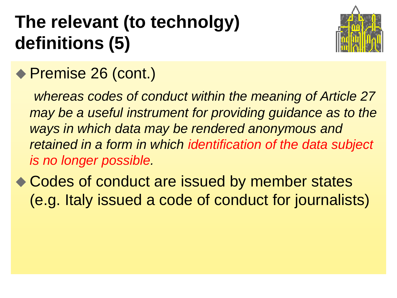# **The relevant (to technolgy) definitions (5)**



### ◆ Premise 26 (cont.)

*whereas codes of conduct within the meaning of Article 27 may be a useful instrument for providing guidance as to the ways in which data may be rendered anonymous and retained in a form in which identification of the data subject is no longer possible.*

◆ Codes of conduct are issued by member states (e.g. Italy issued a code of conduct for journalists)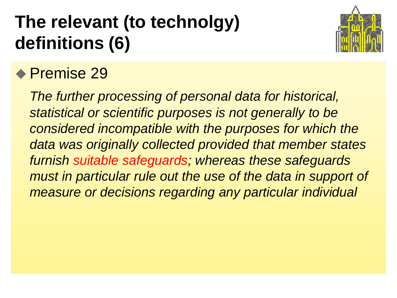# **The relevant (to technolgy) definitions (6)**



### ◆ Premise 29

*The further processing of personal data for historical, statistical or scientific purposes is not generally to be considered incompatible with the purposes for which the data was originally collected provided that member states furnish suitable safeguards; whereas these safeguards must in particular rule out the use of the data in support of measure or decisions regarding any particular individual*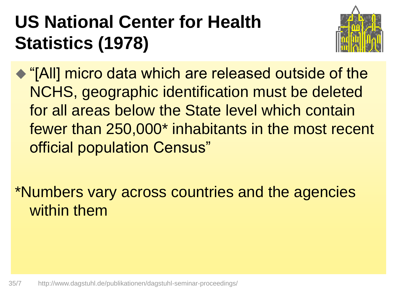# **US National Center for Health Statistics (1978)**



 "[All] micro data which are released outside of the NCHS, geographic identification must be deleted for all areas below the State level which contain fewer than 250,000\* inhabitants in the most recent official population Census"

\*Numbers vary across countries and the agencies within them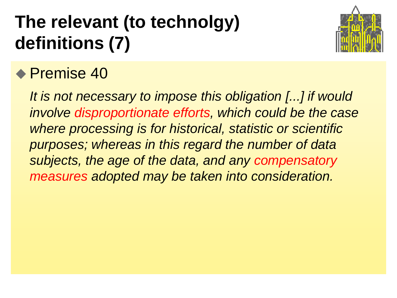# **The relevant (to technolgy) definitions (7)**



### ◆ Premise 40

*It is not necessary to impose this obligation [...] if would involve disproportionate efforts, which could be the case where processing is for historical, statistic or scientific purposes; whereas in this regard the number of data subjects, the age of the data, and any compensatory measures adopted may be taken into consideration.*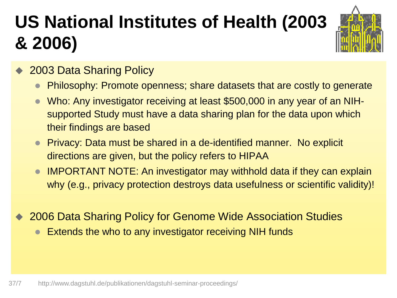# **US National Institutes of Health (2003 & 2006)**



- 2003 Data Sharing Policy
	- Philosophy: Promote openness; share datasets that are costly to generate
	- Who: Any investigator receiving at least \$500,000 in any year of an NIHsupported Study must have a data sharing plan for the data upon which their findings are based
	- Privacy: Data must be shared in a de-identified manner. No explicit directions are given, but the policy refers to HIPAA
	- IMPORTANT NOTE: An investigator may withhold data if they can explain why (e.g., privacy protection destroys data usefulness or scientific validity)!
- 2006 Data Sharing Policy for Genome Wide Association Studies
	- Extends the who to any investigator receiving NIH funds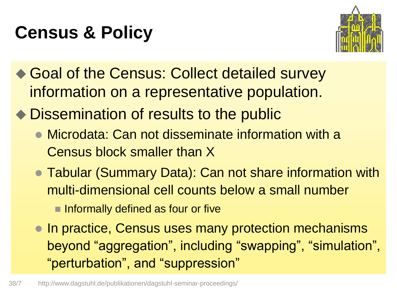### **Census & Policy**



- ◆ Goal of the Census: Collect detailed survey information on a representative population.
- ◆ Dissemination of results to the public
	- Microdata: Can not disseminate information with a Census block smaller than X
	- Tabular (Summary Data): Can not share information with multi-dimensional cell counts below a small number
		- **Informally defined as four or five**
	- In practice, Census uses many protection mechanisms beyond "aggregation", including "swapping", "simulation", "perturbation", and "suppression"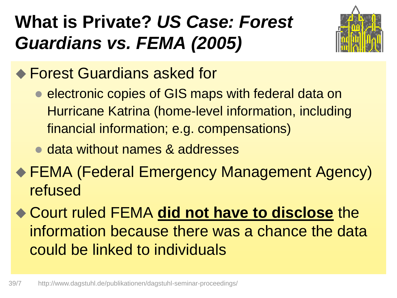# **What is Private?** *US Case: Forest Guardians vs. FEMA (2005)*



- ◆ Forest Guardians asked for
	- **e** electronic copies of GIS maps with federal data on Hurricane Katrina (home-level information, including financial information; e.g. compensations)
	- data without names & addresses
- FEMA (Federal Emergency Management Agency) refused
- Court ruled FEMA **did not have to disclose** the information because there was a chance the data could be linked to individuals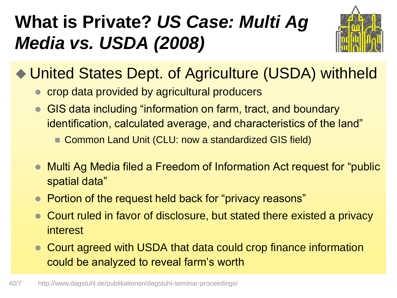# **What is Private?** *US Case: Multi Ag Media vs. USDA (2008)*



### ◆ United States Dept. of Agriculture (USDA) withheld

- crop data provided by agricultural producers
- GIS data including "information on farm, tract, and boundary identification, calculated average, and characteristics of the land"
	- Common Land Unit (CLU: now a standardized GIS field)
- Multi Ag Media filed a Freedom of Information Act request for "public spatial data"
- Portion of the request held back for "privacy reasons"
- Court ruled in favor of disclosure, but stated there existed a privacy interest
- Court agreed with USDA that data could crop finance information could be analyzed to reveal farm's worth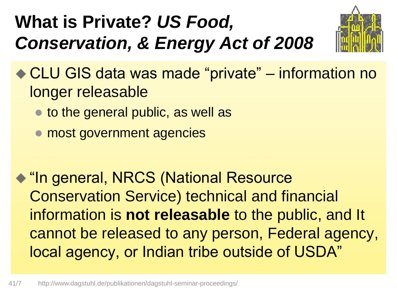# **What is Private?** *US Food, Conservation, & Energy Act of 2008*



◆ CLU GIS data was made "private" – information no longer releasable

- to the general public, as well as
- **most government agencies**

◆ "In general, NRCS (National Resource Conservation Service) technical and financial information is **not releasable** to the public, and It cannot be released to any person, Federal agency, local agency, or Indian tribe outside of USDA"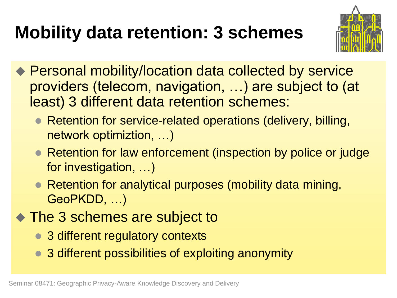# **Mobility data retention: 3 schemes**



- ◆ Personal mobility/location data collected by service providers (telecom, navigation, …) are subject to (at least) 3 different data retention schemes:
	- Retention for service-related operations (delivery, billing, network optimiztion, …)
	- Retention for law enforcement (inspection by police or judge for investigation, …)
	- Retention for analytical purposes (mobility data mining, GeoPKDD, …)
- ◆ The 3 schemes are subject to
	- 3 different regulatory contexts
	- 3 different possibilities of exploiting anonymity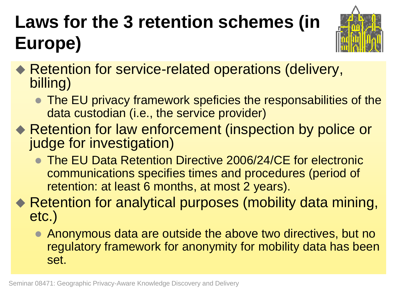# **Laws for the 3 retention schemes (in Europe)**



- ◆ Retention for service-related operations (delivery, billing)
	- The EU privacy framework speficies the responsabilities of the data custodian (i.e., the service provider)
- ◆ Retention for law enforcement (inspection by police or judge for investigation)
	- **The EU Data Retention Directive 2006/24/CE for electronic** communications specifies times and procedures (period of retention: at least 6 months, at most 2 years).

◆ Retention for analytical purposes (mobility data mining, etc.)

 Anonymous data are outside the above two directives, but no regulatory framework for anonymity for mobility data has been set.